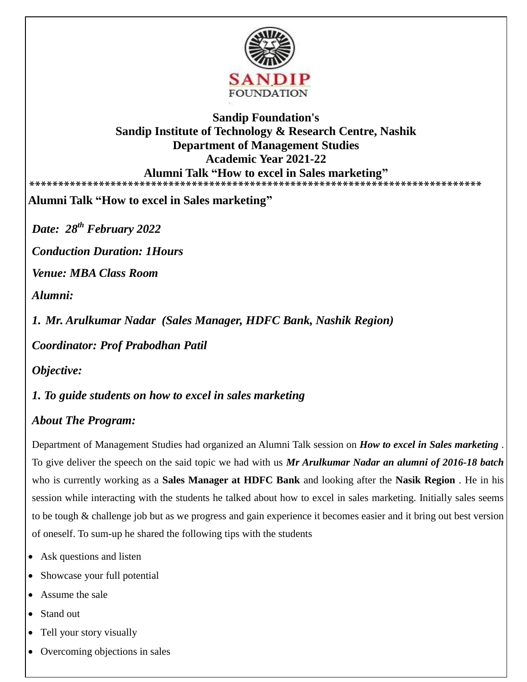

## **Sandip Foundation's Sandip Institute of Technology & Research Centre, Nashik Department of Management Studies Academic Year 2021-22 Alumni Talk "How to excel in Sales marketing" \*\*\*\*\*\*\*\*\*\*\*\*\*\*\*\*\*\*\*\*\*\*\*\*\*\*\*\*\*\*\*\*\*\*\*\*\*\*\*\*\*\*\*\*\*\*\*\*\*\*\*\*\*\*\*\*\*\*\*\*\*\*\*\*\*\*\*\*\*\*\*\*\*\*\*\*\*\***

**Alumni Talk "How to excel in Sales marketing"**

*Date: 28th February 2022*

*Conduction Duration: 1Hours* 

*Venue: MBA Class Room* 

*Alumni:* 

*1. Mr. Arulkumar Nadar (Sales Manager, HDFC Bank, Nashik Region)*

*Coordinator: Prof Prabodhan Patil* 

*Objective:*

*1. To guide students on how to excel in sales marketing* 

## *About The Program:*

Department of Management Studies had organized an Alumni Talk session on *How to excel in Sales marketing* . To give deliver the speech on the said topic we had with us *Mr Arulkumar Nadar an alumni of 2016-18 batch* who is currently working as a **Sales Manager at HDFC Bank** and looking after the **Nasik Region** . He in his session while interacting with the students he talked about how to excel in sales marketing. Initially sales seems to be tough & challenge job but as we progress and gain experience it becomes easier and it bring out best version of oneself. To sum-up he shared the following tips with the students

- Ask questions and listen
- Showcase your full potential
- Assume the sale
- Stand out
- Tell your story visually
- Overcoming objections in sales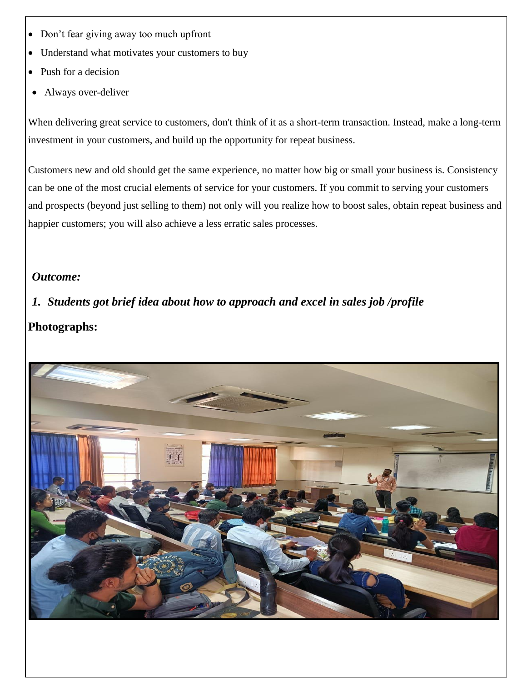- Don't fear giving away too much upfront
- Understand what motivates your customers to buy
- Push for a decision
- Always over-deliver

When delivering great service to customers, don't think of it as a short-term transaction. Instead, make a long-term investment in your customers, and build up the opportunity for repeat business.

Customers new and old should get the same experience, no matter how big or small your business is. Consistency can be one of the most crucial elements of service for your customers. If you commit to serving your customers and prospects (beyond just selling to them) not only will you realize how to boost sales, obtain repeat business and happier customers; you will also achieve a less erratic sales processes.

## *Outcome:*

## *1. Students got brief idea about how to approach and excel in sales job /profile*  **Photographs:**